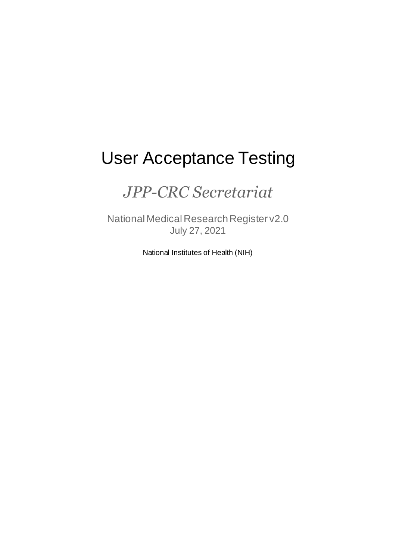# User Acceptance Testing

# *JPP-CRC Secretariat*

National Medical Research Register v2.0 July 27, 2021

National Institutes of Health (NIH)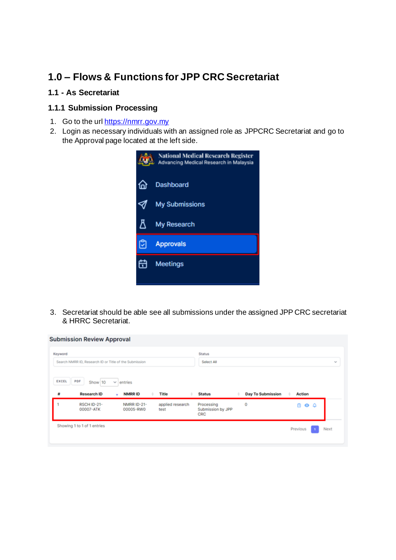# **1.0 – Flows & Functions for JPP CRC Secretariat**

# **1.1 - As Secretariat**

# **1.1.1 Submission Processing**

- 1. Go to the url [https://nmrr.gov.my](https://nmrr.gov.my/)
- 2. Login as necessary individuals with an assigned role as JPPCRC Secretariat and go to the Approval page located at the left side.



3. Secretariat should be able see all submissions under the assigned JPP CRC secretariat & HRRC Secretariat.

| Keyword |                                                        |                          |                          | <b>Status</b>                          |                          |                        |                             |
|---------|--------------------------------------------------------|--------------------------|--------------------------|----------------------------------------|--------------------------|------------------------|-----------------------------|
|         | Search NMRR ID, Research ID or Title of the Submission |                          |                          | Select All                             |                          |                        | $\mathcal{N}_{\mathcal{M}}$ |
|         |                                                        |                          |                          |                                        |                          |                        |                             |
| EXCEL   | PDF<br>Show 10                                         | entries<br>$\checkmark$  |                          |                                        |                          |                        |                             |
| ₩       | <b>Research ID</b>                                     | <b>NMRRID</b><br>٠       | Title<br>٠               | <b>Status</b>                          | <b>Day To Submission</b> | <b>Action</b>          |                             |
|         |                                                        |                          |                          |                                        |                          |                        |                             |
|         | RSCH ID-21-<br>00007-ATK                               | NMRR ID-21-<br>00005-RW0 | applied research<br>test | Processing<br>Submission by JPP<br>CRC | 0                        | 尙<br>$\bullet$ $\circ$ |                             |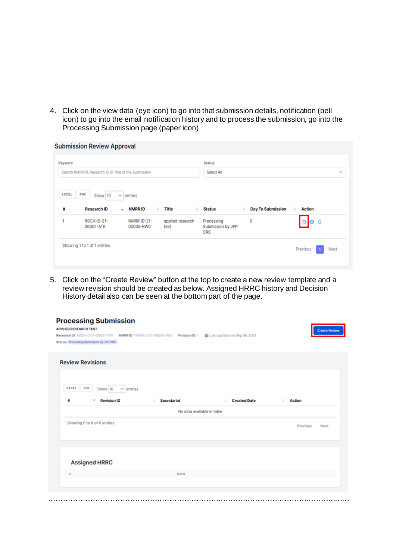4. Click on the view data (eye icon) to go into that submission details, notification (bell icon) to go into the email notification history and to process the submission, go into the Processing Submission page (paper icon)

| Keyword      |                                                        |                          |                          | <b>Status</b>                          |                          |                   |  |
|--------------|--------------------------------------------------------|--------------------------|--------------------------|----------------------------------------|--------------------------|-------------------|--|
|              | Search NMRR ID, Research ID or Title of the Submission |                          |                          | Select All                             |                          |                   |  |
| <b>EXCEL</b> | PDF<br>Show 10                                         | entries<br>v.            |                          |                                        |                          |                   |  |
| Ħ            | <b>Research ID</b>                                     | <b>NMRRID</b><br>٠<br>٠  | <b>Title</b>             | <b>Status</b>                          | <b>Day To Submission</b> | <b>Action</b>     |  |
|              |                                                        |                          |                          |                                        |                          |                   |  |
| 1            | RSCH ID-21-<br>00007-ATK                               | NMRR ID-21-<br>00005-RW0 | applied research<br>test | Processing<br>Submission by JPP<br>CRC | 0                        | $\bullet$ $\circ$ |  |

5. Click on the "Create Review" button at the top to create a new review template and a review revision should be created as below. Assigned HRRC history and Decision History detail also can be seen at the bottom part of the page.

| <b>Processing Submission</b><br><b>APPLIED RESEARCH TEST</b>                                                           |                            |                              | <b>Create Review</b> |
|------------------------------------------------------------------------------------------------------------------------|----------------------------|------------------------------|----------------------|
| Research ID RSCH ID-21-00007-ATK NMRR ID NMRR ID-21-00005-RW0 Protocol ID -<br>Status Processing Submission by JPP CRC |                            | Last updated on Sep 06, 2021 |                      |
| <b>Review Revisions</b>                                                                                                |                            |                              |                      |
| EXCEL<br>PDF<br>Show 10<br>$\vee$ entries                                                                              |                            |                              |                      |
| Ħ<br><b>Revision ID</b><br>٠                                                                                           | <b>Secretariat</b>         | <b>Created Date</b>          | <b>Action</b>        |
|                                                                                                                        | No data available in table |                              |                      |
| Showing 0 to 0 of 0 entries                                                                                            |                            |                              | Previous<br>Next     |
|                                                                                                                        |                            |                              |                      |
| <b>Assigned HRRC</b>                                                                                                   |                            |                              |                      |
|                                                                                                                        | NAME                       |                              |                      |
|                                                                                                                        |                            |                              |                      |
|                                                                                                                        | .                          |                              |                      |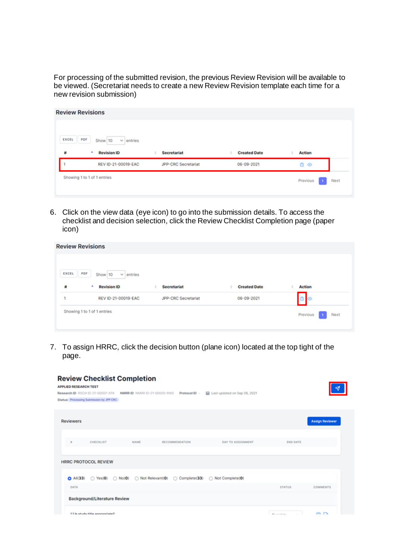For processing of the submitted revision, the previous Review Revision will be available to be viewed. (Secretariat needs to create a new Review Revision template each time for a new revision submission)

| PDF<br>Show 10<br>$\vee$ entries |                            |                     |             |          |
|----------------------------------|----------------------------|---------------------|-------------|----------|
| ۸<br><b>Revision ID</b>          | <b>Secretariat</b><br>٠    | <b>Created Date</b> | Action      |          |
| REV ID-21-00019-EAC              | <b>JPP-CRC Secretariat</b> | 06-09-2021          | $0$ $\circ$ |          |
| Showing 1 to 1 of 1 entries      |                            |                     |             | Next     |
|                                  |                            |                     |             | Previous |

6. Click on the view data (eye icon) to go into the submission details. To access the checklist and decision selection, click the Review Checklist Completion page (paper icon)

| PDF<br><b>EXCEL</b><br>Show 10<br>赫<br><b>Revision ID</b><br>٠ | $\vee$ entries      | <b>Secretariat</b>         | <b>Created Date</b> |               |
|----------------------------------------------------------------|---------------------|----------------------------|---------------------|---------------|
|                                                                |                     |                            |                     | <b>Action</b> |
| ٠<br>Showing 1 to 1 of 1 entries                               | REV ID-21-00019-EAC | <b>JPP-CRC Secretariat</b> | 06-09-2021          | 0             |

7. To assign HRRC, click the decision button (plane icon) located at the top tight of the page.

| <b>Review Checklist Completion</b><br><b>APPLIED RESEARCH TEST</b><br>Last updated on Sep 06, 2021<br>Research ID RSCH ID-21-00007-ATK<br>NMRRID NMRRID-21-00005-RW0<br>Protocol ID -<br>Status Processing Submission by JPP CRC |                  |                        |
|----------------------------------------------------------------------------------------------------------------------------------------------------------------------------------------------------------------------------------|------------------|------------------------|
| <b>Reviewers</b>                                                                                                                                                                                                                 |                  | <b>Assign Reviewer</b> |
| CHECKLIST<br>NAME<br>RECOMMENDATION<br>DAY TO ASSIGNMENT<br>٠                                                                                                                                                                    | <b>END DATE</b>  |                        |
| <b>HRRC PROTOCOL REVIEW</b>                                                                                                                                                                                                      |                  |                        |
| Not Relevant(0)<br>C Complete(33)<br>$O$ All $(33)$<br>Not Complete(0)<br>$\bigcirc$ Yes(0)<br>$\bigcirc$ No(0)<br><b>DATA</b>                                                                                                   |                  |                        |
| <b>Background/Literature Review</b>                                                                                                                                                                                              | <b>STATUS</b>    | <b>COMMENTS</b>        |
| 11 le etudu titla annonniata?                                                                                                                                                                                                    | We are all a way | e                      |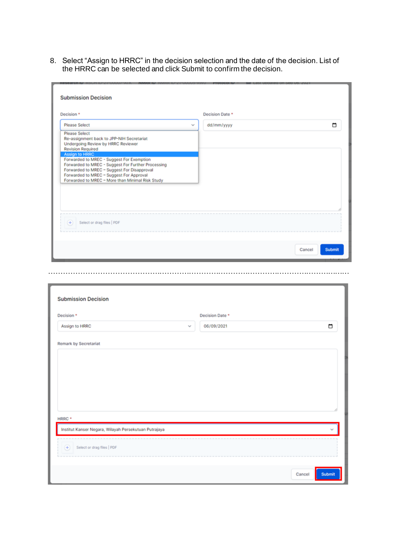8. Select "Assign to HRRC" in the decision selection and the date of the decision. List of the HRRC can be selected and click Submit to confirm the decision.

| Decision *                                                                                                                                                                                                                                     |              | Decision Date * |   |
|------------------------------------------------------------------------------------------------------------------------------------------------------------------------------------------------------------------------------------------------|--------------|-----------------|---|
| <b>Please Select</b>                                                                                                                                                                                                                           | $\checkmark$ | dd/mm/yyyy      | □ |
| <b>Please Select</b><br>Re-assignment back to JPP-NIH Secretariat<br>Undergoing Review by HRRC Reviewer<br><b>Revision Required</b>                                                                                                            |              |                 |   |
| <b>Assign to HRRC</b>                                                                                                                                                                                                                          |              |                 |   |
| Forwarded to MREC - Suggest For Exemption<br>Forwarded to MREC - Suggest For Further Processing<br>Forwarded to MREC - Suggest For Disapproval<br>Forwarded to MREC - Suggest For Approval<br>Forwarded to MREC - More than Minimal Risk Study |              |                 |   |
|                                                                                                                                                                                                                                                |              |                 |   |
|                                                                                                                                                                                                                                                |              |                 |   |
|                                                                                                                                                                                                                                                |              |                 |   |
|                                                                                                                                                                                                                                                |              |                 |   |
| Select or drag files   PDF<br>$(+)$                                                                                                                                                                                                            |              |                 |   |
|                                                                                                                                                                                                                                                |              |                 |   |

……………………………………………………………………………………………………………

|                                                       |        | Decision Date * |   |
|-------------------------------------------------------|--------|-----------------|---|
| Assign to HRRC                                        | $\sim$ | 06/09/2021      | □ |
| <b>Remark by Secretariat</b>                          |        |                 |   |
|                                                       |        |                 |   |
|                                                       |        |                 |   |
|                                                       |        |                 |   |
|                                                       |        |                 |   |
|                                                       |        |                 |   |
| HRRC *                                                |        |                 |   |
|                                                       |        |                 |   |
| Institut Kanser Negara, Wilayah Persekutuan Putrajaya |        |                 |   |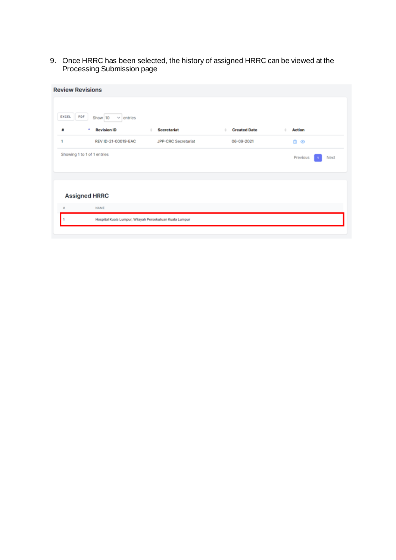9. Once HRRC has been selected, the history of assigned HRRC can be viewed at the Processing Submission page

|                             | <b>Review Revisions</b>                              |                                                         |                     |                  |
|-----------------------------|------------------------------------------------------|---------------------------------------------------------|---------------------|------------------|
| PDF<br>EXCEL<br>紺           | Show 10<br>$\vee$ entries<br>٠<br><b>Revision ID</b> | <b>Secretariat</b><br>٠                                 | <b>Created Date</b> | <b>Action</b>    |
| 1                           | REV ID-21-00019-EAC                                  | JPP-CRC Secretariat                                     | 06-09-2021          | a<br>$\odot$     |
| Showing 1 to 1 of 1 entries |                                                      |                                                         |                     | Previous<br>Next |
| <b>Assigned HRRC</b>        |                                                      |                                                         |                     |                  |
| $\mathbf{a}$                | NAME                                                 |                                                         |                     |                  |
|                             |                                                      | Hospital Kuala Lumpur, Wilayah Persekutuan Kuala Lumpur |                     |                  |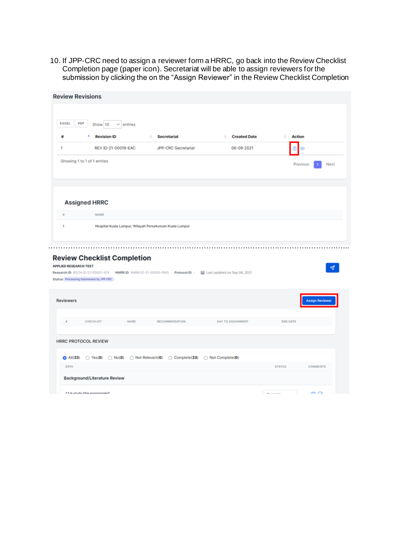10. If JPP-CRC need to assign a reviewer form a HRRC, go back into the Review Checklist Completion page (paper icon). Secretariat will be able to assign reviewers for the submission by clicking the on the "Assign Reviewer" in the Review Checklist Completion

| EXCEL                                            | PDF<br>Show 10<br>v.<br>entries                                               |                                                                             |                              |                    |                        |
|--------------------------------------------------|-------------------------------------------------------------------------------|-----------------------------------------------------------------------------|------------------------------|--------------------|------------------------|
| Ħ                                                | <b>Revision ID</b>                                                            | ÷.<br><b>Secretariat</b>                                                    | <b>Created Date</b><br>٠     | ٠<br><b>Action</b> |                        |
| 1                                                | REV ID-21-00019-EAC                                                           | JPP-CRC Secretariat                                                         | 06-09-2021                   | Θ<br>⊚             |                        |
|                                                  | Showing 1 to 1 of 1 entries                                                   |                                                                             |                              | Previous           | Next                   |
|                                                  | <b>Assigned HRRC</b>                                                          |                                                                             |                              |                    |                        |
|                                                  | NAME                                                                          |                                                                             |                              |                    |                        |
| 1                                                |                                                                               | Hospital Kuala Lumpur, Wilayah Persekutuan Kuala Lumpur                     |                              |                    |                        |
|                                                  |                                                                               |                                                                             |                              |                    |                        |
|                                                  | <b>Review Checklist Completion</b><br>Status Processing Submission by JPP CRC | Research ID RSCH ID-21-00007-ATK NMRR ID NMRR ID-21-00005-RW0 Protocol ID - | Last updated on Sep 06, 2021 |                    |                        |
| <b>APPLIED RESEARCH TEST</b><br><b>Reviewers</b> |                                                                               |                                                                             |                              |                    | <b>Assign Reviewer</b> |
|                                                  | CHECKLIST<br>NAME                                                             | RECOMMENDATION                                                              | DAY TO ASSIGNMENT            | <b>END DATE</b>    |                        |
|                                                  | <b>HRRC PROTOCOL REVIEW</b>                                                   |                                                                             |                              |                    |                        |
| $O$ All $(33)$                                   |                                                                               | ○ Yes(0) ○ No(0) ○ Not Relevant(0) ○ Complete(33) ○ Not Complete(0)         |                              |                    |                        |
| DATA                                             |                                                                               |                                                                             |                              | <b>STATUS</b>      | COMMENTS               |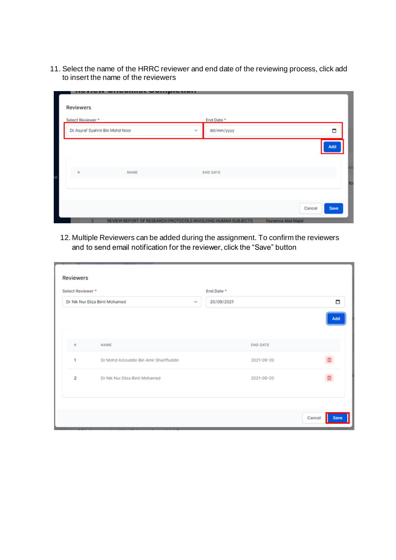11. Select the name of the HRRC reviewer and end date of the reviewing process, click add to insert the name of the reviewers

| <b>Reviewers</b>  |                                |              |                 |        |        |
|-------------------|--------------------------------|--------------|-----------------|--------|--------|
| Select Reviewer * |                                |              | End Date *      |        |        |
|                   | Dr Asyraf Syahmi Bin Mohd Noor | $\mathbf{v}$ | dd/mm/yyyy      |        | $\Box$ |
|                   |                                |              |                 |        | Add    |
|                   |                                |              |                 |        |        |
| $\tilde{\pi}$     | <b>NAME</b>                    |              | <b>END DATE</b> |        |        |
|                   |                                |              |                 |        |        |
|                   |                                |              |                 |        |        |
|                   |                                |              |                 | Cancel | Save   |

12. Multiple Reviewers can be added during the assignment. To confirm the reviewers and to send email notification for the reviewer, click the "Save" button

| Select Reviewer * |                                         | End Date *           |                 |     |
|-------------------|-----------------------------------------|----------------------|-----------------|-----|
|                   | Dr Nik Nur Eliza Binti Mohamed          | 20/09/2021<br>$\sim$ |                 | □   |
|                   |                                         |                      |                 | Add |
|                   |                                         |                      |                 |     |
| 茸                 | <b>NAME</b>                             |                      | <b>END DATE</b> |     |
| 1                 | Dr Mohd Azizuddin Bin Amir Shariffuddin |                      | 2021-09-20      |     |
| $\overline{2}$    | Dr Nik Nur Eliza Binti Mohamed          |                      | 2021-09-20      |     |
|                   |                                         |                      |                 |     |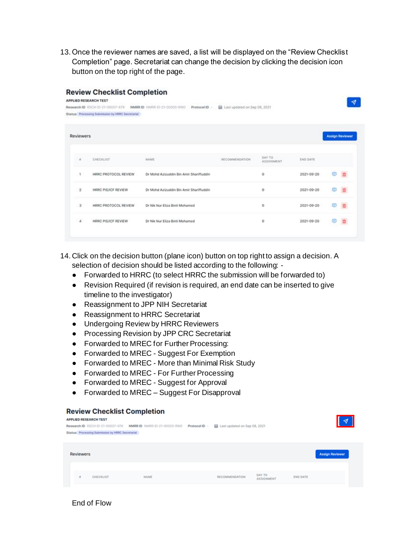13.Once the reviewer names are saved, a list will be displayed on the "Review Checklist Completion" page. Secretariat can change the decision by clicking the decision icon button on the top right of the page.

| <b>APPLIED RESEARCH TEST</b>     |                                         |                                                                                                                        |                      |                              |                        |
|----------------------------------|-----------------------------------------|------------------------------------------------------------------------------------------------------------------------|----------------------|------------------------------|------------------------|
| Research ID RSCH ID-21-00007-ATK | Protocol ID -                           |                                                                                                                        |                      |                              |                        |
|                                  |                                         |                                                                                                                        |                      |                              |                        |
| <b>Reviewers</b>                 |                                         |                                                                                                                        |                      |                              |                        |
| CHECKLIST                        | NAME                                    | RECOMMENDATION.                                                                                                        | DAY TO<br>ASSIGNMENT | <b>END DATE</b>              |                        |
| HRRC PROTOCOL REVIEW             | Dr Mohd Azizuddin Bin Amir Shariffuddin |                                                                                                                        | o                    | $2021 - 09 - 20$             |                        |
| HRRC PIS/ICF REVIEW              | Dr Mohd Azizuddin Bin Amir Shariffuddin |                                                                                                                        | $\circ$              | 2021-09-20                   |                        |
| HRRC PROTOCOL REVIEW             | Dr Nik Nur Eliza Binti Mohamed          |                                                                                                                        | o                    | 2021-09-20                   |                        |
| HRRC PIS/ICF REVIEW              | Dr Nik Nur Eliza Binti Mohamed          |                                                                                                                        | o                    | $2021 - 09 - 20$             |                        |
|                                  |                                         | <b>Review Checklist Completion</b><br>NMRR ID NMRR ID-21-00005-RW0<br>Status Processing Submission by HRRC Secretariat |                      | Last updated on Sep 06, 2021 | <b>Assign Reviewer</b> |

14. Click on the decision button (plane icon) button on top right to assign a decision. A selection of decision should be listed according to the following: -

- Forwarded to HRRC (to select HRRC the submission will be forwarded to)
- Revision Required (if revision is required, an end date can be inserted to give timeline to the investigator)
- Reassignment to JPP NIH Secretariat
- Reassignment to HRRC Secretariat
- Undergoing Review by HRRC Reviewers
- Processing Revision by JPP CRC Secretariat
- Forwarded to MREC for Further Processing:
- Forwarded to MREC Suggest For Exemption
- Forwarded to MREC More than Minimal Risk Study
- Forwarded to MREC For Further Processing
- Forwarded to MREC Suggest for Approval
- Forwarded to MREC Suggest For Disapproval

### **Review Checklist Completion**

|                                                                                                                                                                                                                                                                                                                                                                                                                         | <b>APPLIED RESEARCH TEST</b><br>Status Processing Submission by HRRC Secretariat | Research ID RSCH ID-21-00007-ATK NMRR ID NMRR ID-21-00005-RWD Protocol ID - | Last updated on Sep 06, 2021 |                             |                 | বা                     |
|-------------------------------------------------------------------------------------------------------------------------------------------------------------------------------------------------------------------------------------------------------------------------------------------------------------------------------------------------------------------------------------------------------------------------|----------------------------------------------------------------------------------|-----------------------------------------------------------------------------|------------------------------|-----------------------------|-----------------|------------------------|
| <b>Reviewers</b>                                                                                                                                                                                                                                                                                                                                                                                                        |                                                                                  |                                                                             |                              |                             |                 | <b>Assign Reviewer</b> |
| $\mathbf{H}% =\mathbf{H}+\mathbf{H}+\mathbf{H}+\mathbf{H}+\mathbf{H}+\mathbf{H}+\mathbf{H}+\mathbf{H}+\mathbf{H}+\mathbf{H}+\mathbf{H}+\mathbf{H}+\mathbf{H}+\mathbf{H}+\mathbf{H}+\mathbf{H}+\mathbf{H}+\mathbf{H}+\mathbf{H}+\mathbf{H}+\mathbf{H}+\mathbf{H}+\mathbf{H}+\mathbf{H}+\mathbf{H}+\mathbf{H}+\mathbf{H}+\mathbf{H}+\mathbf{H}+\mathbf{H}+\mathbf{H}+\mathbf{H}+\mathbf{H}+\mathbf{H}+\mathbf{H}+\mathbf$ | CHECKLIST                                                                        | NAME                                                                        | RECOMMENDATION               | DAY TO<br><b>ASSIGNMENT</b> | <b>END DATE</b> |                        |

End of Flow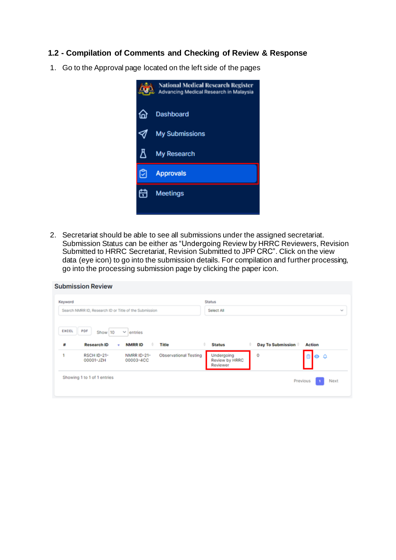# **1.2 - Compilation of Comments and Checking of Review & Response**

1. Go to the Approval page located on the left side of the pages



2. Secretariat should be able to see all submissions under the assigned secretariat. Submission Status can be either as "Undergoing Review by HRRC Reviewers, Revision Submitted to HRRC Secretariat, Revision Submitted to JPP CRC". Click on the view data (eye icon) to go into the submission details. For compilation and further processing, go into the processing submission page by clicking the paper icon.

| Keyword<br>Search NMRR ID, Research ID or Title of the Submission |                                         |                              | <b>Status</b><br>Select All              |                        | $\sim$        |
|-------------------------------------------------------------------|-----------------------------------------|------------------------------|------------------------------------------|------------------------|---------------|
| PDF<br>EXCEL<br>Show 10<br>#<br><b>Research ID</b>                | entries<br>$\sim$<br><b>NMRRID</b><br>٠ | Title                        | <b>Status</b>                            | Day To Submission<br>٠ | <b>Action</b> |
| <b>RSCH ID-21-</b><br>00001-JZH                                   | <b>NMRR ID-21-</b><br>00003-4CC         | <b>Observational Testing</b> | Undergoing<br>Review by HRRC<br>Reviewer | 0                      | 800           |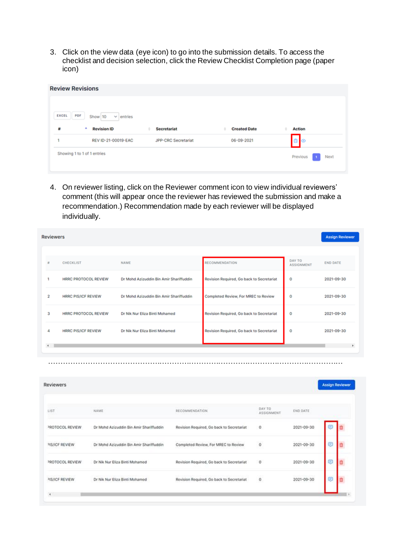3. Click on the view data (eye icon) to go into the submission details. To access the checklist and decision selection, click the Review Checklist Completion page (paper icon)

| <b>Review Revisions</b> |                                  |                            |                     |                  |
|-------------------------|----------------------------------|----------------------------|---------------------|------------------|
|                         |                                  |                            |                     |                  |
| EXCEL                   | PDF<br>Show 10<br>$\vee$ entries |                            |                     |                  |
| 赫                       | ٠<br><b>Revision ID</b>          | <b>Secretariat</b><br>٠    | <b>Created Date</b> | <b>Action</b>    |
| 1                       | REV ID-21-00019-EAC              | <b>JPP-CRC</b> Secretariat | 06-09-2021          | ு∣⊛              |
|                         | Showing 1 to 1 of 1 entries      |                            |                     | Previous<br>Next |
|                         |                                  |                            |                     |                  |

4. On reviewer listing, click on the Reviewer comment icon to view individual reviewers' comment (this will appear once the reviewer has reviewed the submission and make a recommendation.) Recommendation made by each reviewer will be displayed individually.

|              | <b>Reviewers</b>            |                                         |                                           |                             | <b>Assign Reviewer</b> |
|--------------|-----------------------------|-----------------------------------------|-------------------------------------------|-----------------------------|------------------------|
|              |                             |                                         |                                           |                             |                        |
| 业            | <b>CHECKLIST</b>            | NAME                                    | <b>RECOMMENDATION</b>                     | DAY TO<br><b>ASSIGNMENT</b> | <b>END DATE</b>        |
|              | <b>HRRC PROTOCOL REVIEW</b> | Dr Mohd Azizuddin Bin Amir Shariffuddin | Revision Required, Go back to Secretariat | 0                           | 2021-09-30             |
| 2            | <b>HRRC PIS/ICF REVIEW</b>  | Dr Mohd Azizuddin Bin Amir Shariffuddin | Completed Review, For MREC to Review      | ٥                           | 2021-09-30             |
| 3            | <b>HRRC PROTOCOL REVIEW</b> | Dr Nik Nur Eliza Binti Mohamed          | Revision Required, Go back to Secretariat | 0                           | 2021-09-30             |
| 4            | <b>HRRC PIS/ICF REVIEW</b>  | Dr Nik Nur Eliza Binti Mohamed          | Revision Required, Go back to Secretariat | 0                           | 2021-09-30             |
| $\leftarrow$ |                             |                                         |                                           |                             |                        |

…………………………………………………………………………………………………………

|                                         |                                           |                      |                  | <b>Assign Reviewer</b> |  |
|-----------------------------------------|-------------------------------------------|----------------------|------------------|------------------------|--|
| NAME                                    | RECOMMENDATION<br>AT 그는 아이에 만나고 있어요?      | DAY TO<br>ASSIGNMENT | END DATE         |                        |  |
| Dr Mohd Azizuddin Bin Amir Shariffuddin | Revision Required, Go back to Secretariat | 0                    | $2021 - 09 - 30$ | $\bullet$              |  |
| Dr Mohd Azizuddin Bin Amir Shariffuddin | Completed Review, For MREC to Review      | $\circ$<br>se e a    | 2021-09-30       | ¢                      |  |
| Dr Nik Nur Eliza Binti Mohamed          | Revision Required, Go back to Secretariat | $\circ$              | 2021-09-30       | Ξ                      |  |
| Dr Nik Nur Eliza Binti Mohamed          | Revision Required, Go back to Secretariat | o                    | 2021-09-30       | Θ                      |  |
|                                         |                                           |                      |                  |                        |  |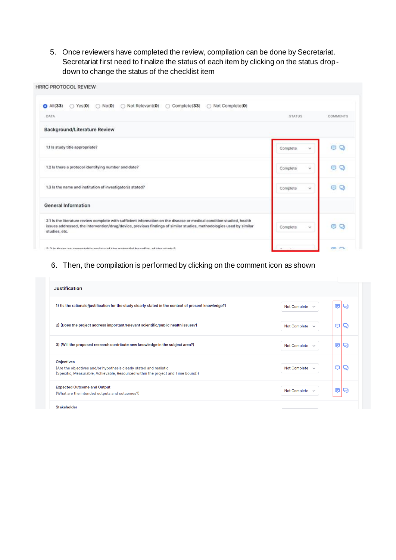5. Once reviewers have completed the review, compilation can be done by Secretariat. Secretariat first need to finalize the status of each item by clicking on the status dropdown to change the status of the checklist item

| <b>HRRC PROTOCOL REVIEW</b>                                                                                                                                                                                                                                   |                          |          |
|---------------------------------------------------------------------------------------------------------------------------------------------------------------------------------------------------------------------------------------------------------------|--------------------------|----------|
| Not Relevant(0)<br>Complete(33)<br>Not Complete(0)<br>$A$ All $(33)$<br>$\bigcirc$ Yes(0)<br>$\bigcirc$ No(0)                                                                                                                                                 |                          |          |
| DATA                                                                                                                                                                                                                                                          | <b>STATUS</b>            | COMMENTS |
| <b>Background/Literature Review</b>                                                                                                                                                                                                                           |                          |          |
| 1.1 is study title appropriate?                                                                                                                                                                                                                               | Complete.<br>$\sim$      | O Q      |
| 1.2 Is there a protocol identifying number and date?                                                                                                                                                                                                          | c.<br>Complete           | O<br>o   |
| 1.3 Is the name and institution of investigator/s stated?                                                                                                                                                                                                     | Complete<br>$\checkmark$ | O<br>Θ   |
| <b>General Information</b>                                                                                                                                                                                                                                    |                          |          |
| 2.1 Is the literature review complete with sufficient information on the disease or medical condition studied, health<br>issues addressed, the intervention/drug/device, previous findings of similar studies, methodologies used by similar<br>studies, etc. | Complete<br>v.           | ⊜        |
| Outside with a dibonal lotteration of the university attacked an accept at 0.0                                                                                                                                                                                | $\overline{\phantom{a}}$ | en en    |

## 6. Then, the compilation is performed by clicking on the comment icon as shown

| <b>Justification</b>                                                                                                                                                        |                                     |   |      |
|-----------------------------------------------------------------------------------------------------------------------------------------------------------------------------|-------------------------------------|---|------|
| (Is the rationale/justification for the study clearly stated in the context of present knowledge?)                                                                          | <b>Not Complete</b><br>$\checkmark$ | ⊜ |      |
| 2) (Does the project address important/relevant scientific/public health issues?)                                                                                           | Not Complete $\vee$                 | ⊜ | ربي  |
| 3) (Will the proposed research contribute new knowledge in the subject area?)                                                                                               | <b>Not Complete</b><br>$\checkmark$ | ⊜ | Q    |
| <b>Objectives</b><br>(Are the objectives and/or hypothesis clearly stated and realistic<br>(Specific, Measurable, Achievable, Resourced within the project and Time bound)) | Not Complete $\sim$                 | ⊜ | رليا |
| <b>Expected Outcome and Output</b><br>(What are the intended outputs and outcomes?)                                                                                         | Not Complete<br>$\checkmark$        | ⊜ |      |

Stakeholder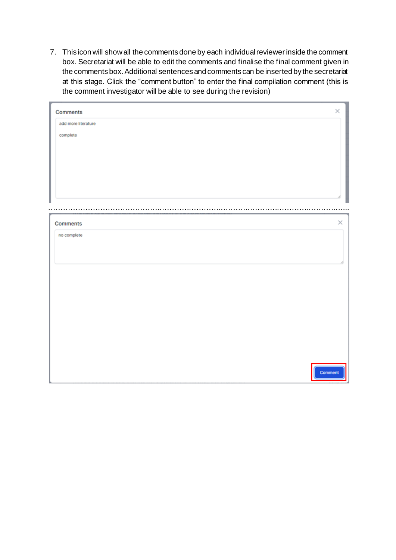7. This icon will show all the comments done by each individual reviewer inside the comment box. Secretariat will be able to edit the comments and finalise the final comment given in the comments box. Additional sentences and comments can be inserted by the secretariat at this stage. Click the "comment button" to enter the final compilation comment (this is the comment investigator will be able to see during the revision)

| Comments            |  | $\times$ |
|---------------------|--|----------|
| add more literature |  |          |
| complete            |  |          |
|                     |  |          |
|                     |  |          |
|                     |  |          |
|                     |  |          |
|                     |  |          |
|                     |  |          |
|                     |  |          |
|                     |  |          |
|                     |  |          |
| Comments            |  |          |
| no complete         |  |          |
|                     |  |          |
|                     |  |          |
|                     |  |          |
|                     |  |          |
|                     |  |          |
|                     |  |          |
|                     |  |          |
|                     |  |          |
|                     |  |          |
|                     |  |          |
|                     |  |          |
|                     |  |          |
|                     |  |          |
|                     |  |          |
|                     |  |          |